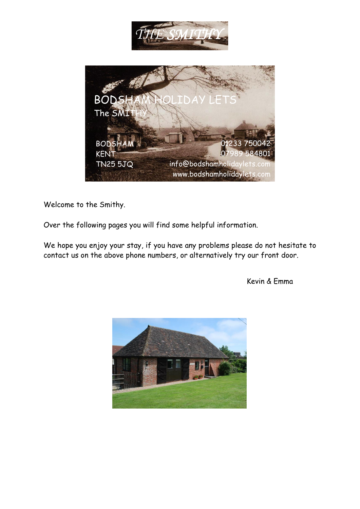

Welcome to the Smithy.

Over the following pages you will find some helpful information.

We hope you enjoy your stay, if you have any problems please do not hesitate to contact us on the above phone numbers, or alternatively try our front door.

Kevin & Emma

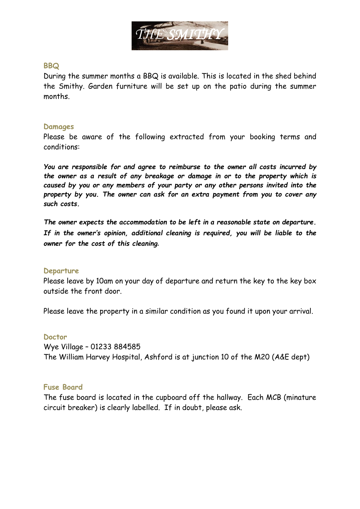

## **BBQ**

During the summer months a BBQ is available. This is located in the shed behind the Smithy. Garden furniture will be set up on the patio during the summer months.

#### **Damages**

Please be aware of the following extracted from your booking terms and conditions:

*You are responsible for and agree to reimburse to the owner all costs incurred by the owner as a result of any breakage or damage in or to the property which is caused by you or any members of your party or any other persons invited into the property by you. The owner can ask for an extra payment from you to cover any such costs.* 

*The owner expects the accommodation to be left in a reasonable state on departure. If in the owner's opinion, additional cleaning is required, you will be liable to the owner for the cost of this cleaning***.**

#### **Departure**

Please leave by 10am on your day of departure and return the key to the key box outside the front door.

Please leave the property in a similar condition as you found it upon your arrival.

#### **Doctor**

Wye Village – 01233 884585 The William Harvey Hospital, Ashford is at junction 10 of the M20 (A&E dept)

## **Fuse Board**

The fuse board is located in the cupboard off the hallway. Each MCB (minature circuit breaker) is clearly labelled. If in doubt, please ask.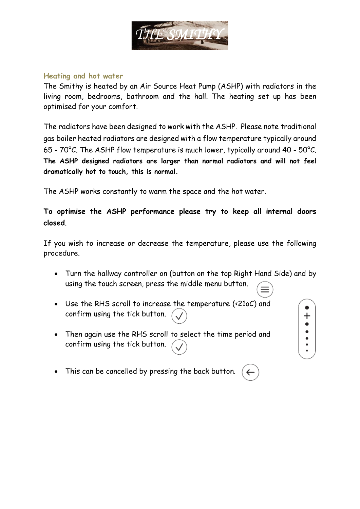

#### **Heating and hot water**

The Smithy is heated by an Air Source Heat Pump (ASHP) with radiators in the living room, bedrooms, bathroom and the hall. The heating set up has been optimised for your comfort.

The radiators have been designed to work with the ASHP. Please note traditional gas boiler heated radiators are designed with a flow temperature typically around 65 - 70°C. The ASHP flow temperature is much lower, typically around 40 - 50°C. **The ASHP designed radiators are larger than normal radiators and will not feel dramatically hot to touch, this is normal.**

The ASHP works constantly to warm the space and the hot water.

**To optimise the ASHP performance please try to keep all internal doors closed**.

If you wish to increase or decrease the temperature, please use the following procedure.

- Turn the hallway controller on (button on the top Right Hand Side) and by using the touch screen, press the middle menu button.
- Use the RHS scroll to increase the temperature (<21oC) and confirm using the tick button.
- Then again use the RHS scroll to select the time period and confirm using the tick button.
- This can be cancelled by pressing the back button.

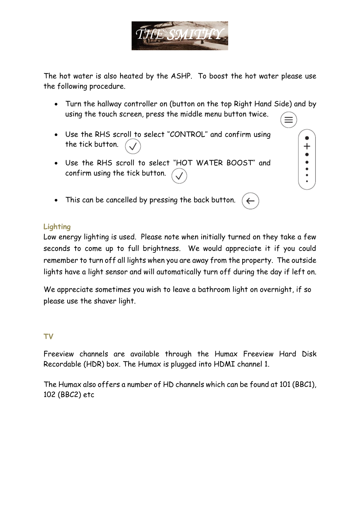

The hot water is also heated by the ASHP. To boost the hot water please use the following procedure.

- Turn the hallway controller on (button on the top Right Hand Side) and by using the touch screen, press the middle menu button twice.
- Use the RHS scroll to select ''CONTROL'' and confirm using the tick button.
- Use the RHS scroll to select ''HOT WATER BOOST'' and confirm using the tick button.
- This can be cancelled by pressing the back button.

# **Lighting**

Low energy lighting is used. Please note when initially turned on they take a few seconds to come up to full brightness. We would appreciate it if you could remember to turn off all lights when you are away from the property. The outside lights have a light sensor and will automatically turn off during the day if left on.

We appreciate sometimes you wish to leave a bathroom light on overnight, if so please use the shaver light.

# **TV**

Freeview channels are available through the Humax Freeview Hard Disk Recordable (HDR) box. The Humax is plugged into HDMI channel 1.

The Humax also offers a number of HD channels which can be found at 101 (BBC1), 102 (BBC2) etc